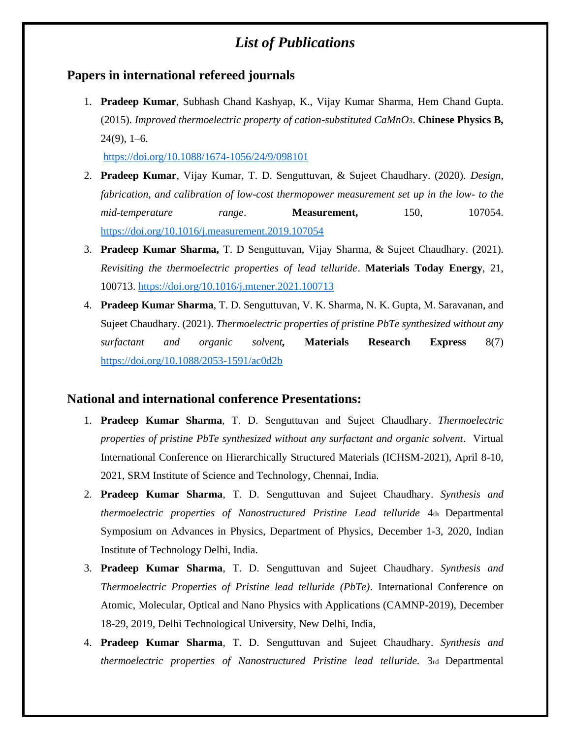## *List of Publications*

## **Papers in international refereed journals**

1. **Pradeep Kumar**, Subhash Chand Kashyap, K., Vijay Kumar Sharma, Hem Chand Gupta. (2015). *Improved thermoelectric property of cation-substituted CaMnO3*. **Chinese Physics B,**  24(9), 1–6.

<https://doi.org/10.1088/1674-1056/24/9/098101>

- 2. **Pradeep Kumar**, Vijay Kumar, T. D. Senguttuvan, & Sujeet Chaudhary. (2020). *Design, fabrication, and calibration of low-cost thermopower measurement set up in the low- to the mid-temperature range*. **Measurement,** 150, 107054. <https://doi.org/10.1016/j.measurement.2019.107054>
- 3. **Pradeep Kumar Sharma,** T. D Senguttuvan, Vijay Sharma, & Sujeet Chaudhary. (2021). *Revisiting the thermoelectric properties of lead telluride*. **Materials Today Energy**, 21, 100713.<https://doi.org/10.1016/j.mtener.2021.100713>
- 4. **Pradeep Kumar Sharma**, T. D. Senguttuvan, V. K. Sharma, N. K. Gupta, M. Saravanan, and Sujeet Chaudhary. (2021). *Thermoelectric properties of pristine PbTe synthesized without any surfactant and organic solvent,* **Materials Research Express** 8(7) <https://doi.org/10.1088/2053-1591/ac0d2b>

## **National and international conference Presentations:**

- 1. **Pradeep Kumar Sharma**, T. D. Senguttuvan and Sujeet Chaudhary. *Thermoelectric properties of pristine PbTe synthesized without any surfactant and organic solvent.* Virtual International Conference on Hierarchically Structured Materials (ICHSM-2021), April 8-10, 2021, SRM Institute of Science and Technology, Chennai, India.
- 2. **Pradeep Kumar Sharma**, T. D. Senguttuvan and Sujeet Chaudhary. *Synthesis and thermoelectric properties of Nanostructured Pristine Lead telluride* 4th Departmental Symposium on Advances in Physics, Department of Physics, December 1-3, 2020, Indian Institute of Technology Delhi, India.
- 3. **Pradeep Kumar Sharma**, T. D. Senguttuvan and Sujeet Chaudhary. *Synthesis and Thermoelectric Properties of Pristine lead telluride (PbTe).* International Conference on Atomic, Molecular, Optical and Nano Physics with Applications (CAMNP-2019), December 18-29, 2019, Delhi Technological University, New Delhi, India,
- 4. **Pradeep Kumar Sharma**, T. D. Senguttuvan and Sujeet Chaudhary. *Synthesis and thermoelectric properties of Nanostructured Pristine lead telluride.* 3rd Departmental